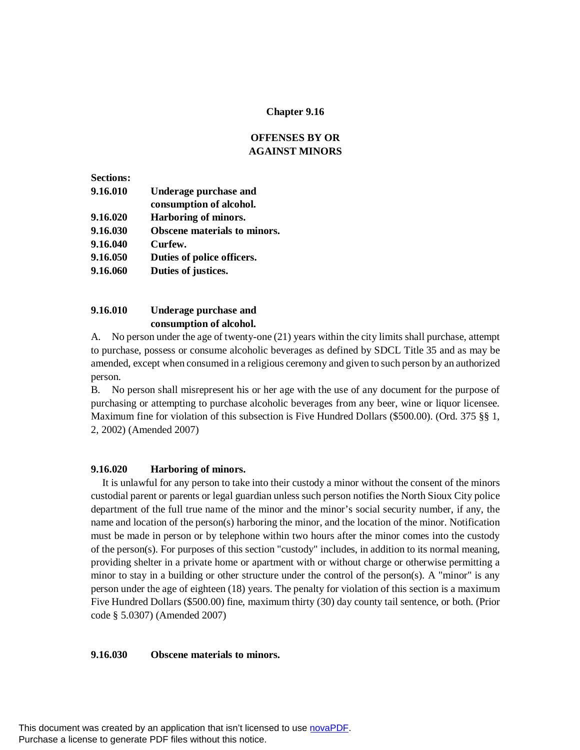### **Chapter 9.16**

# **OFFENSES BY OR AGAINST MINORS**

| <b>Sections:</b> |                                     |
|------------------|-------------------------------------|
| 9.16.010         | Underage purchase and               |
|                  | consumption of alcohol.             |
| 9.16.020         | Harboring of minors.                |
| 9.16.030         | <b>Obscene materials to minors.</b> |
| 9.16.040         | Curfew.                             |
| 9.16.050         | Duties of police officers.          |
| 9.16.060         | Duties of justices.                 |
|                  |                                     |

# **9.16.010 Underage purchase and consumption of alcohol.**

A. No person under the age of twenty-one (21) years within the city limits shall purchase, attempt to purchase, possess or consume alcoholic beverages as defined by SDCL Title 35 and as may be amended, except when consumed in a religious ceremony and given to such person by an authorized person.

B. No person shall misrepresent his or her age with the use of any document for the purpose of purchasing or attempting to purchase alcoholic beverages from any beer, wine or liquor licensee. Maximum fine for violation of this subsection is Five Hundred Dollars (\$500.00). (Ord. 375 §§ 1, 2, 2002) (Amended 2007)

# **9.16.020 Harboring of minors.**

It is unlawful for any person to take into their custody a minor without the consent of the minors custodial parent or parents or legal guardian unless such person notifies the North Sioux City police department of the full true name of the minor and the minor's social security number, if any, the name and location of the person(s) harboring the minor, and the location of the minor. Notification must be made in person or by telephone within two hours after the minor comes into the custody of the person(s). For purposes of this section "custody" includes, in addition to its normal meaning, providing shelter in a private home or apartment with or without charge or otherwise permitting a minor to stay in a building or other structure under the control of the person(s). A "minor" is any person under the age of eighteen (18) years. The penalty for violation of this section is a maximum Five Hundred Dollars (\$500.00) fine, maximum thirty (30) day county tail sentence, or both. (Prior code § 5.0307) (Amended 2007)

#### **9.16.030 Obscene materials to minors.**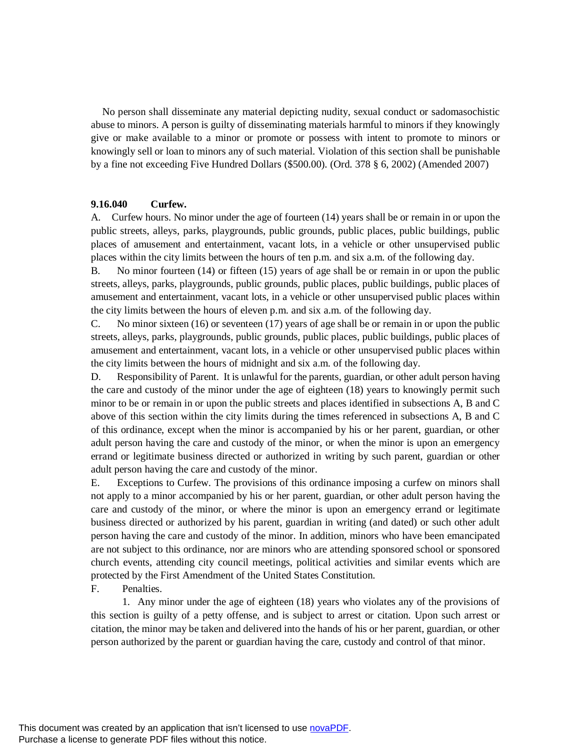No person shall disseminate any material depicting nudity, sexual conduct or sadomasochistic abuse to minors. A person is guilty of disseminating materials harmful to minors if they knowingly give or make available to a minor or promote or possess with intent to promote to minors or knowingly sell or loan to minors any of such material. Violation of this section shall be punishable by a fine not exceeding Five Hundred Dollars (\$500.00). (Ord. 378 § 6, 2002) (Amended 2007)

### **9.16.040 Curfew.**

A. Curfew hours. No minor under the age of fourteen (14) years shall be or remain in or upon the public streets, alleys, parks, playgrounds, public grounds, public places, public buildings, public places of amusement and entertainment, vacant lots, in a vehicle or other unsupervised public places within the city limits between the hours of ten p.m. and six a.m. of the following day.

B. No minor fourteen (14) or fifteen (15) years of age shall be or remain in or upon the public streets, alleys, parks, playgrounds, public grounds, public places, public buildings, public places of amusement and entertainment, vacant lots, in a vehicle or other unsupervised public places within the city limits between the hours of eleven p.m. and six a.m. of the following day.

C. No minor sixteen (16) or seventeen (17) years of age shall be or remain in or upon the public streets, alleys, parks, playgrounds, public grounds, public places, public buildings, public places of amusement and entertainment, vacant lots, in a vehicle or other unsupervised public places within the city limits between the hours of midnight and six a.m. of the following day.

D. Responsibility of Parent. It is unlawful for the parents, guardian, or other adult person having the care and custody of the minor under the age of eighteen (18) years to knowingly permit such minor to be or remain in or upon the public streets and places identified in subsections A, B and C above of this section within the city limits during the times referenced in subsections A, B and C of this ordinance, except when the minor is accompanied by his or her parent, guardian, or other adult person having the care and custody of the minor, or when the minor is upon an emergency errand or legitimate business directed or authorized in writing by such parent, guardian or other adult person having the care and custody of the minor.

E. Exceptions to Curfew. The provisions of this ordinance imposing a curfew on minors shall not apply to a minor accompanied by his or her parent, guardian, or other adult person having the care and custody of the minor, or where the minor is upon an emergency errand or legitimate business directed or authorized by his parent, guardian in writing (and dated) or such other adult person having the care and custody of the minor. In addition, minors who have been emancipated are not subject to this ordinance, nor are minors who are attending sponsored school or sponsored church events, attending city council meetings, political activities and similar events which are protected by the First Amendment of the United States Constitution.

F. Penalties.

1. Any minor under the age of eighteen (18) years who violates any of the provisions of this section is guilty of a petty offense, and is subject to arrest or citation. Upon such arrest or citation, the minor may be taken and delivered into the hands of his or her parent, guardian, or other person authorized by the parent or guardian having the care, custody and control of that minor.